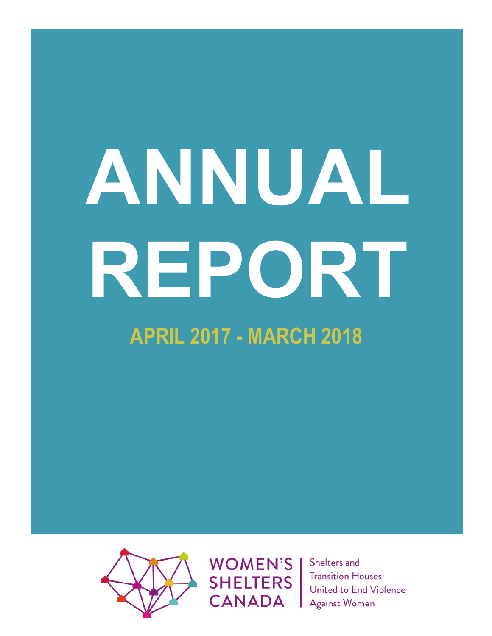# **ANNUAL REPORT APRIL 2017 - MARCH 2018**



**WOMEN'S SHELTERS CANADA** 

Shelters and **Transition Houses** United to End Violence **Against Women**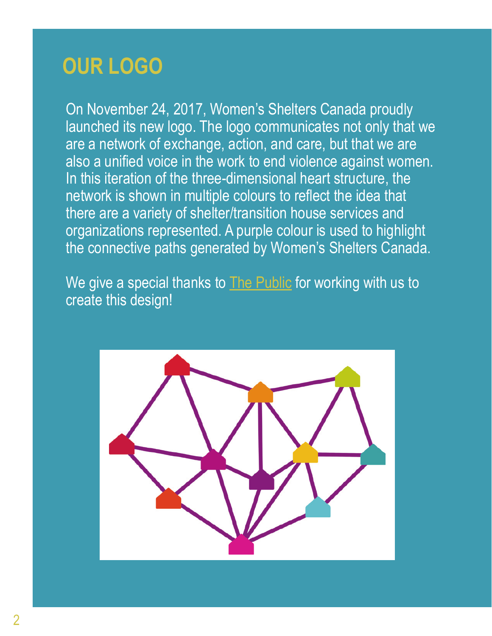#### **OUR LOGO**

On November 24, 2017, Women's Shelters Canada proudly launched its new logo. The logo communicates not only that we are a network of exchange, action, and care, but that we are also a unified voice in the work to end violence against women. In this iteration of the three-dimensional heart structure, the network is shown in multiple colours to reflect the idea that there are a variety of shelter/transition house services and organizations represented. A purple colour is used to highlight the connective paths generated by Women's Shelters Canada.

We give a special thanks to [The Public](https://thepublicstudio.ca/) for working with us to create this design!

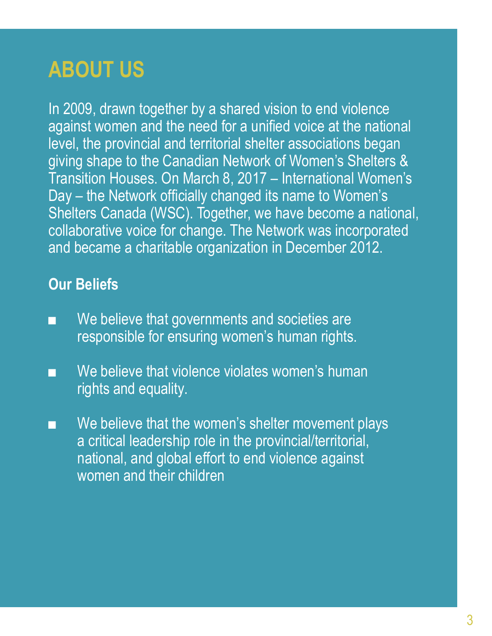#### **ABOUT US**

In 2009, drawn together by a shared vision to end violence against women and the need for a unified voice at the national level, the provincial and territorial shelter associations began giving shape to the Canadian Network of Women's Shelters & Transition Houses. On March 8, 2017 – International Women's Day – the Network officially changed its name to Women's Shelters Canada (WSC). Together, we have become a national, collaborative voice for change. The Network was incorporated and became a charitable organization in December 2012.

#### **Our Beliefs**

- We believe that governments and societies are responsible for ensuring women's human rights.
- We believe that violence violates women's human rights and equality.
- We believe that the women's shelter movement plays a critical leadership role in the provincial/territorial, national, and global effort to end violence against women and their children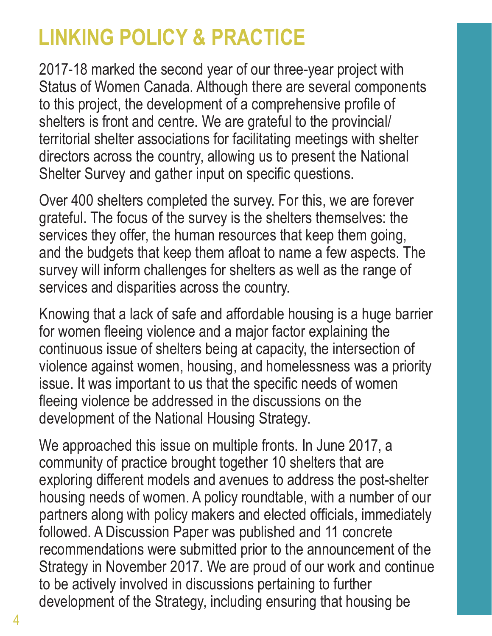#### **LINKING POLICY & PRACTICE**

2017-18 marked the second year of our three-year project with Status of Women Canada. Although there are several components to this project, the development of a comprehensive profile of shelters is front and centre. We are grateful to the provincial/ territorial shelter associations for facilitating meetings with shelter directors across the country, allowing us to present the National Shelter Survey and gather input on specific questions.

Over 400 shelters completed the survey. For this, we are forever grateful. The focus of the survey is the shelters themselves: the services they offer, the human resources that keep them going. and the budgets that keep them afloat to name a few aspects. The survey will inform challenges for shelters as well as the range of services and disparities across the country.

Knowing that a lack of safe and affordable housing is a huge barrier for women fleeing violence and a major factor explaining the continuous issue of shelters being at capacity, the intersection of violence against women, housing, and homelessness was a priority issue. It was important to us that the specific needs of women fleeing violence be addressed in the discussions on the development of the National Housing Strategy.

We approached this issue on multiple fronts. In June 2017, a community of practice brought together 10 shelters that are exploring different models and avenues to address the post-shelter housing needs of women. A policy roundtable, with a number of our partners along with policy makers and elected officials, immediately followed. A Discussion Paper was published and 11 concrete recommendations were submitted prior to the announcement of the Strategy in November 2017. We are proud of our work and continue to be actively involved in discussions pertaining to further development of the Strategy, including ensuring that housing be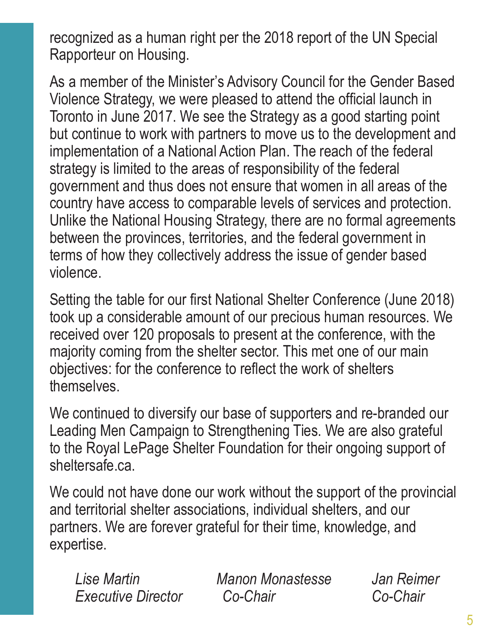recognized as a human right per the 2018 report of the UN Special Rapporteur on Housing.

As a member of the Minister's Advisory Council for the Gender Based Violence Strategy, we were pleased to attend the official launch in Toronto in June 2017. We see the Strategy as a good starting point but continue to work with partners to move us to the development and implementation of a National Action Plan. The reach of the federal strategy is limited to the areas of responsibility of the federal government and thus does not ensure that women in all areas of the country have access to comparable levels of services and protection. Unlike the National Housing Strategy, there are no formal agreements between the provinces, territories, and the federal government in terms of how they collectively address the issue of gender based violence.

Setting the table for our first National Shelter Conference (June 2018) took up a considerable amount of our precious human resources. We received over 120 proposals to present at the conference, with the majority coming from the shelter sector. This met one of our main objectives: for the conference to reflect the work of shelters themselves.

We continued to diversify our base of supporters and re-branded our Leading Men Campaign to Strengthening Ties. We are also grateful to the Royal LePage Shelter Foundation for their ongoing support of sheltersafe.ca.

We could not have done our work without the support of the provincial and territorial shelter associations, individual shelters, and our partners. We are forever grateful for their time, knowledge, and expertise.

 *Lise Martin Manon Monastesse Jan Reimer Executive Director Co-Chair Co-Chair*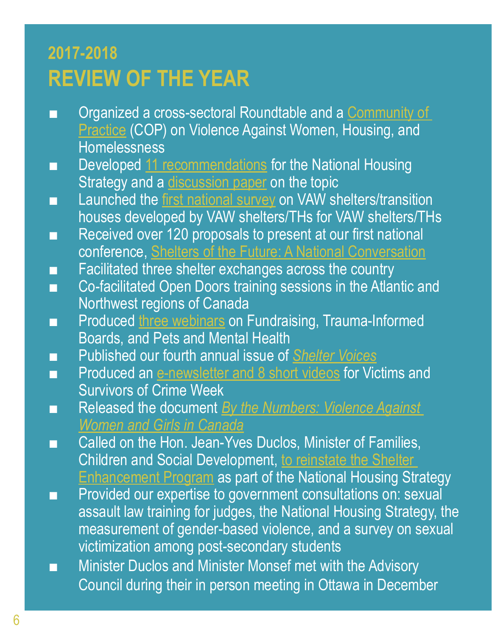#### **2017-2018 REVIEW OF THE YEAR**

- Organized a cross-sectoral Roundtable and a Community of **[Practice](https://endvaw.ca/housing-community-practice/) (COP) on Violence Against Women, Housing, and Homelessness**
- Developed [11 recommendations](https://endvaw.ca/wp-content/uploads/2017/08/nhs-recommendat_23575361_287715d3e9fc1d8f20a6ee208e9b423f1e164e0b.jpeg) for the National Housing Strategy and a [discussion paper](https://endvaw.ca/wp-content/uploads/2017/09/Housing-Homelessness-and-VAW-Discussion-Paper-Aug-2017.pdf) on the topic
- Launched the [first national survey](https://endvaw.ca/developing-national-profile-womens-shelters-today/) on VAW shelters/transition houses developed by VAW shelters/THs for VAW shelters/THs
- Received over 120 proposals to present at our first national conference, [Shelters of the Future: A National Conversation](https://endvaw.ca/national-conference-2018/)
- Facilitated three shelter exchanges across the country
- Co-facilitated Open Doors training sessions in the Atlantic and Northwest regions of Canada
- Produced [three webinars](https://www.youtube.com/playlist?list=PLmAkDVk4o5Q2stGSOW2GahZ9KmfJxVCS6) on Fundraising, Trauma-Informed Boards, and Pets and Mental Health
- Published our fourth annual issue of *[Shelter Voices](https://endvaw.ca/shelter-voices-2017/)*
- Produced an [e-newsletter and 8 short videos](https://mailchi.mp/a71284eacb95/womens-shelters-more-than-a-refuge-from-violence?e=[UNIQID]) for Victims and Survivors of Crime Week
- Released the document *By the Numbers: Violence Against [Women and Girls in Canada](https://endvaw.ca/wp-content/uploads/2017/12/WSC_By_the_Numbers_VAW.pdf)*
- Called on the Hon. Jean-Yves Duclos, Minister of Families, Children and Social Development, [to reinstate the Shelter](https://endvaw.ca/wp-content/uploads/2017/09/WSC-letter-Duclos-13-Sept.pdf)  **[Enhancement Program](https://endvaw.ca/wp-content/uploads/2017/09/WSC-letter-Duclos-13-Sept.pdf) as part of the National Housing Strategy**
- Provided our expertise to government consultations on: sexual assault law training for judges, the National Housing Strategy, the measurement of gender-based violence, and a survey on sexual victimization among post-secondary students
- Minister Duclos and Minister Monsef met with the Advisory Council during their in person meeting in Ottawa in December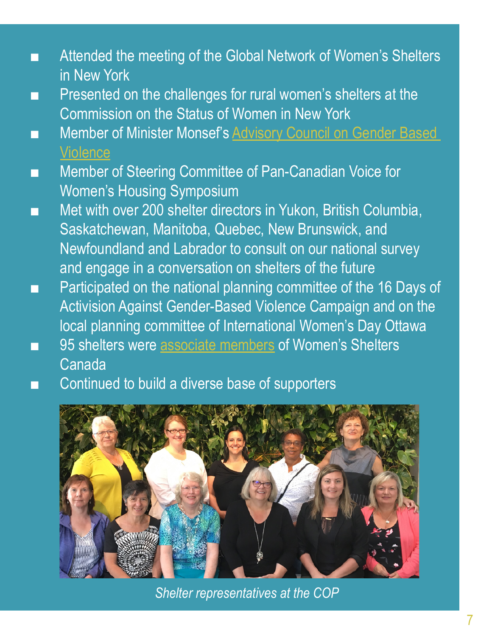- Attended the meeting of the Global Network of Women's Shelters in New York
- Presented on the challenges for rural women's shelters at the Commission on the Status of Women in New York
- Member of Minister Monsef's Advisory Council on Gender Based **[Violence](https://www.swc-cfc.gc.ca/violence/strategy-strategie/council-conseil-en.html)**
- Member of Steering Committee of Pan-Canadian Voice for Women's Housing Symposium
- Met with over 200 shelter directors in Yukon, British Columbia, Saskatchewan, Manitoba, Quebec, New Brunswick, and Newfoundland and Labrador to consult on our national survey and engage in a conversation on shelters of the future
- Participated on the national planning committee of the 16 Days of Activision Against Gender-Based Violence Campaign and on the local planning committee of International Women's Day Ottawa
- 95 shelters were [associate members](https://endvaw.ca/about-cnwsth/our-members/#associate-members) of Women's Shelters Canada
- Continued to build a diverse base of supporters



*Shelter representatives at the COP*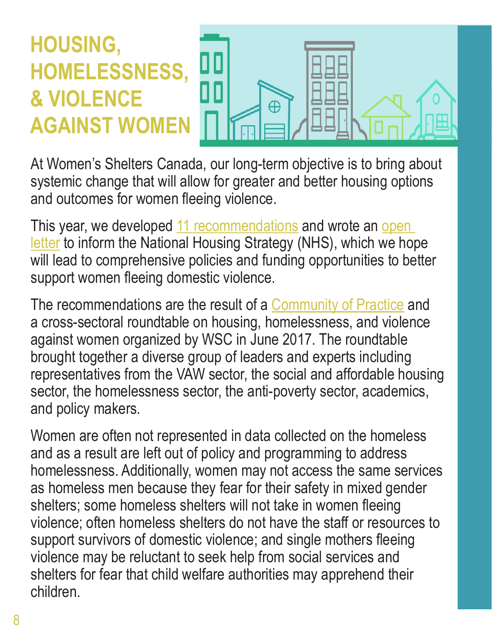## **HOUSING, HOMELESSNESS, & VIOLENCE AGAINST WOMEN**



At Women's Shelters Canada, our long-term objective is to bring about systemic change that will allow for greater and better housing options and outcomes for women fleeing violence.

This year, we developed [11 recommendations](https://endvaw.ca/wp-content/uploads/2017/08/nhs-recommendat_23575361_287715d3e9fc1d8f20a6ee208e9b423f1e164e0b.jpeg) and wrote an open [letter](https://endvaw.ca/wp-content/uploads/2017/08/WSC-Open-Letter-re-NHS.pdf) to inform the National Housing Strategy (NHS), which we hope will lead to comprehensive policies and funding opportunities to better support women fleeing domestic violence.

The recommendations are the result of a [Community of Practice](https://endvaw.ca/housing-community-practice/) and a cross-sectoral roundtable on housing, homelessness, and violence against women organized by WSC in June 2017. The roundtable brought together a diverse group of leaders and experts including representatives from the VAW sector, the social and affordable housing sector, the homelessness sector, the anti-poverty sector, academics, and policy makers.

Women are often not represented in data collected on the homeless and as a result are left out of policy and programming to address homelessness. Additionally, women may not access the same services as homeless men because they fear for their safety in mixed gender shelters; some homeless shelters will not take in women fleeing violence; often homeless shelters do not have the staff or resources to support survivors of domestic violence; and single mothers fleeing violence may be reluctant to seek help from social services and shelters for fear that child welfare authorities may apprehend their children.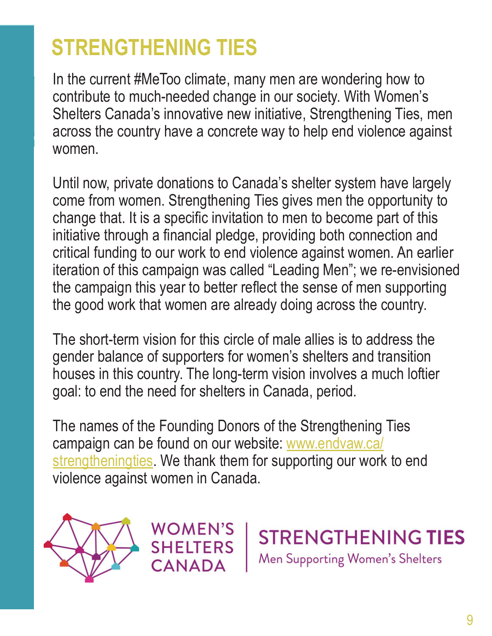### **STRENGTHENING TIES**

In the current #MeToo climate, many men are wondering how to contribute to much-needed change in our society. With Women's Shelters Canada's innovative new initiative, Strengthening Ties, men across the country have a concrete way to help end violence against women.

Until now, private donations to Canada's shelter system have largely come from women. Strengthening Ties gives men the opportunity to change that. It is a specific invitation to men to become part of this initiative through a financial pledge, providing both connection and critical funding to our work to end violence against women. An earlier iteration of this campaign was called "Leading Men"; we re-envisioned the campaign this year to better reflect the sense of men supporting the good work that women are already doing across the country.

The short-term vision for this circle of male allies is to address the gender balance of supporters for women's shelters and transition houses in this country. The long-term vision involves a much loftier goal: to end the need for shelters in Canada, period.

The names of the Founding Donors of the Strengthening Ties campaign can be found on our website: [www.endvaw.ca/](http://www.endvaw.ca/strengtheningties) [strengtheningties](http://www.endvaw.ca/strengtheningties). We thank them for supporting our work to end violence against women in Canada.





**STRENGTHENING TIES** Men Supporting Women's Shelters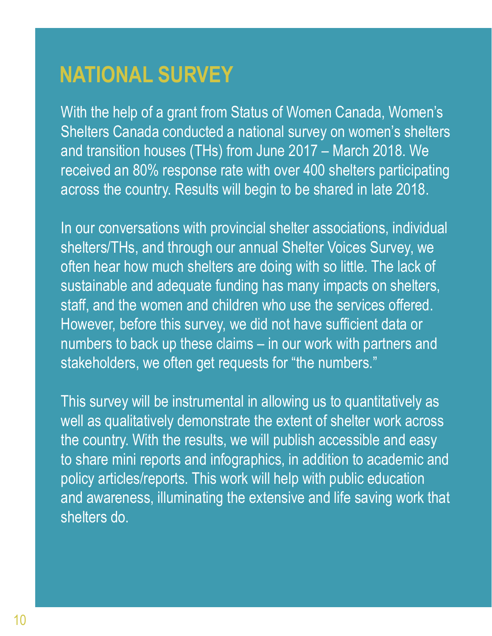#### **NATIONAL SURVEY**

With the help of a grant from Status of Women Canada, Women's Shelters Canada conducted a national survey on women's shelters and transition houses (THs) from June 2017 – March 2018. We received an 80% response rate with over 400 shelters participating across the country. Results will begin to be shared in late 2018.

In our conversations with provincial shelter associations, individual shelters/THs, and through our annual Shelter Voices Survey, we often hear how much shelters are doing with so little. The lack of sustainable and adequate funding has many impacts on shelters, staff, and the women and children who use the services offered. However, before this survey, we did not have sufficient data or numbers to back up these claims – in our work with partners and stakeholders, we often get requests for "the numbers."

This survey will be instrumental in allowing us to quantitatively as well as qualitatively demonstrate the extent of shelter work across the country. With the results, we will publish accessible and easy to share mini reports and infographics, in addition to academic and policy articles/reports. This work will help with public education and awareness, illuminating the extensive and life saving work that shelters do.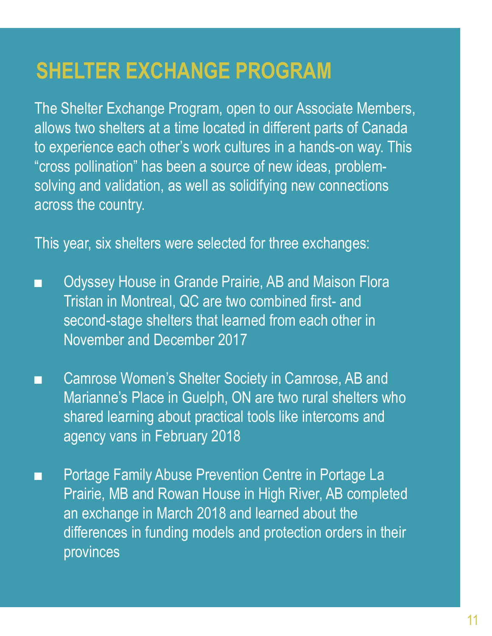#### **SHELTER EXCHANGE PROGRAM**

The Shelter Exchange Program, open to our Associate Members, allows two shelters at a time located in different parts of Canada to experience each other's work cultures in a hands-on way. This "cross pollination" has been a source of new ideas, problemsolving and validation, as well as solidifying new connections across the country.

This year, six shelters were selected for three exchanges:

- Odyssey House in Grande Prairie, AB and Maison Flora Tristan in Montreal, QC are two combined first- and second-stage shelters that learned from each other in November and December 2017
- Camrose Women's Shelter Society in Camrose, AB and Marianne's Place in Guelph, ON are two rural shelters who shared learning about practical tools like intercoms and agency vans in February 2018
- Portage Family Abuse Prevention Centre in Portage La Prairie, MB and Rowan House in High River, AB completed, an exchange in March 2018 and learned about the differences in funding models and protection orders in their provinces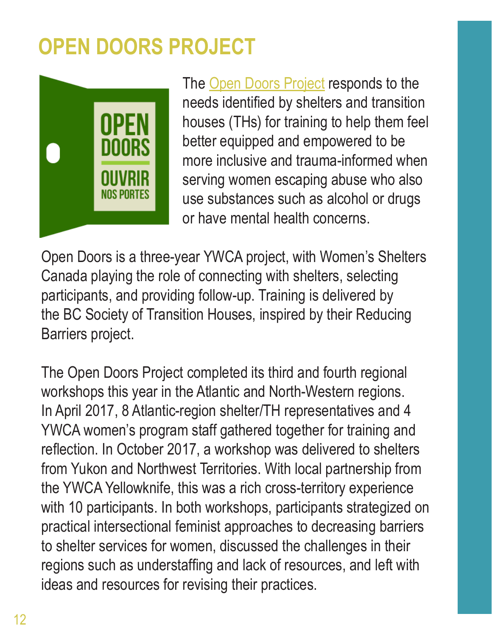### **OPEN DOORS PROJECT**



The [Open Doors Project](http://opendoorsproject.ca/) responds to the needs identified by shelters and transition houses (THs) for training to help them feel better equipped and empowered to be more inclusive and trauma-informed when serving women escaping abuse who also use substances such as alcohol or drugs or have mental health concerns.

Open Doors is a three-year YWCA project, with Women's Shelters Canada playing the role of connecting with shelters, selecting participants, and providing follow-up. Training is delivered by the BC Society of Transition Houses, inspired by their Reducing Barriers project.

The Open Doors Project completed its third and fourth regional workshops this year in the Atlantic and North-Western regions. In April 2017, 8 Atlantic-region shelter/TH representatives and 4 YWCA women's program staff gathered together for training and reflection. In October 2017, a workshop was delivered to shelters from Yukon and Northwest Territories. With local partnership from the YWCA Yellowknife, this was a rich cross-territory experience with 10 participants. In both workshops, participants strategized on practical intersectional feminist approaches to decreasing barriers to shelter services for women, discussed the challenges in their regions such as understaffing and lack of resources, and left with ideas and resources for revising their practices.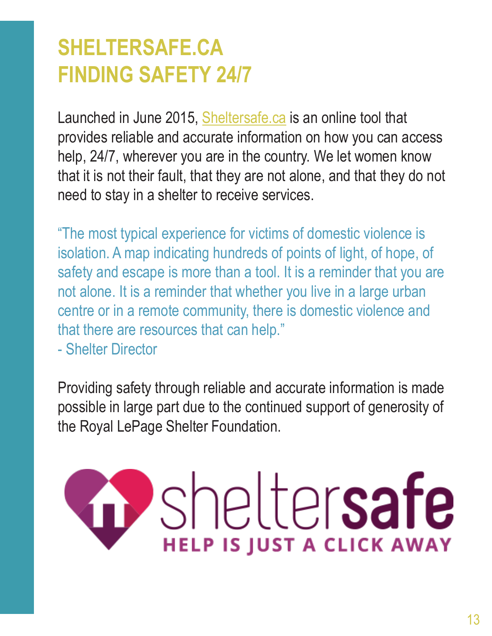#### **SHELTERSAFE.CA FINDING SAFETY 24/7**

Launched in June 2015, [Sheltersafe.ca](https://www.sheltersafe.ca/) is an online tool that provides reliable and accurate information on how you can access help, 24/7, wherever you are in the country. We let women know that it is not their fault, that they are not alone, and that they do not need to stay in a shelter to receive services.

"The most typical experience for victims of domestic violence is isolation. A map indicating hundreds of points of light, of hope, of safety and escape is more than a tool. It is a reminder that you are not alone. It is a reminder that whether you live in a large urban centre or in a remote community, there is domestic violence and that there are resources that can help."

- Shelter Director

Providing safety through reliable and accurate information is made possible in large part due to the continued support of generosity of the Royal LePage Shelter Foundation.

# sheltersafe **HELP IS JUST A CLICK AWAY**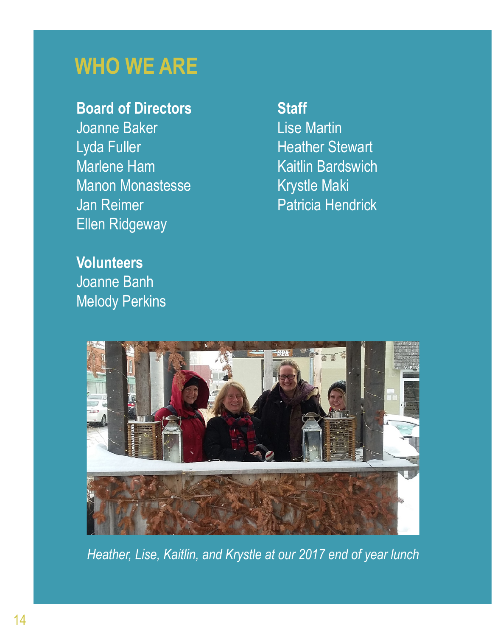#### **WHO WE ARE**

#### **Board of Directors**

Joanne Baker Lyda Fuller Marlene Ham Manon Monastesse Jan Reimer Ellen Ridgeway

**Volunteers** Joanne Banh Melody Perkins

#### **Staff**

Lise Martin Heather Stewart Kaitlin Bardswich Krystle Maki Patricia Hendrick



*Heather, Lise, Kaitlin, and Krystle at our 2017 end of year lunch*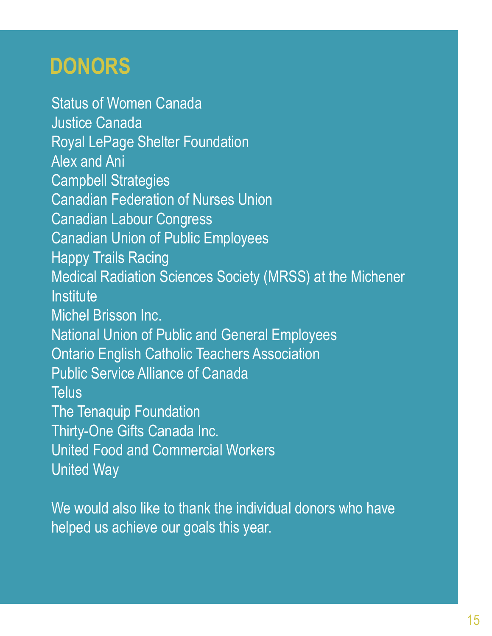#### **DONORS**

Status of Women Canada Justice Canada Royal LePage Shelter Foundation Alex and Ani Campbell Strategies Canadian Federation of Nurses Union Canadian Labour Congress Canadian Union of Public Employees Happy Trails Racing Medical Radiation Sciences Society (MRSS) at the Michener Institute Michel Brisson Inc. National Union of Public and General Employees Ontario English Catholic Teachers Association Public Service Alliance of Canada **Telus** The Tenaquip Foundation Thirty-One Gifts Canada Inc. United Food and Commercial Workers United Way

We would also like to thank the individual donors who have helped us achieve our goals this year.